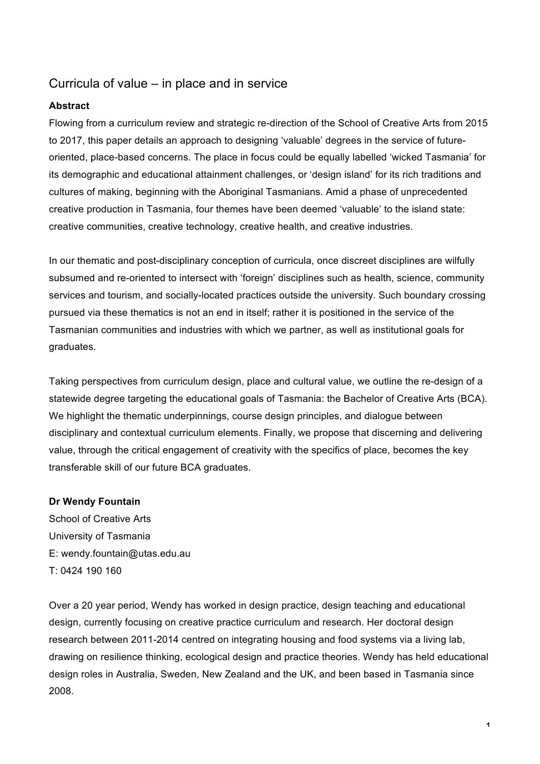# Curricula of value – in place and in service

## **Abstract**

Flowing from a curriculum review and strategic re-direction of the School of Creative Arts from 2015 to 2017, this paper details an approach to designing 'valuable' degrees in the service of futureoriented, place-based concerns. The place in focus could be equally labelled 'wicked Tasmania' for its demographic and educational attainment challenges, or 'design island' for its rich traditions and cultures of making, beginning with the Aboriginal Tasmanians. Amid a phase of unprecedented creative production in Tasmania, four themes have been deemed 'valuable' to the island state: creative communities, creative technology, creative health, and creative industries.

In our thematic and post-disciplinary conception of curricula, once discreet disciplines are wilfully subsumed and re-oriented to intersect with 'foreign' disciplines such as health, science, community services and tourism, and socially-located practices outside the university. Such boundary crossing pursued via these thematics is not an end in itself; rather it is positioned in the service of the Tasmanian communities and industries with which we partner, as well as institutional goals for graduates.

Taking perspectives from curriculum design, place and cultural value, we outline the re-design of a statewide degree targeting the educational goals of Tasmania: the Bachelor of Creative Arts (BCA). We highlight the thematic underpinnings, course design principles, and dialogue between disciplinary and contextual curriculum elements. Finally, we propose that discerning and delivering value, through the critical engagement of creativity with the specifics of place, becomes the key transferable skill of our future BCA graduates.

## **Dr Wendy Fountain**

School of Creative Arts University of Tasmania E: wendy.fountain@utas.edu.au T: 0424 190 160

Over a 20 year period, Wendy has worked in design practice, design teaching and educational design, currently focusing on creative practice curriculum and research. Her doctoral design research between 2011-2014 centred on integrating housing and food systems via a living lab, drawing on resilience thinking, ecological design and practice theories. Wendy has held educational design roles in Australia, Sweden, New Zealand and the UK, and been based in Tasmania since 2008.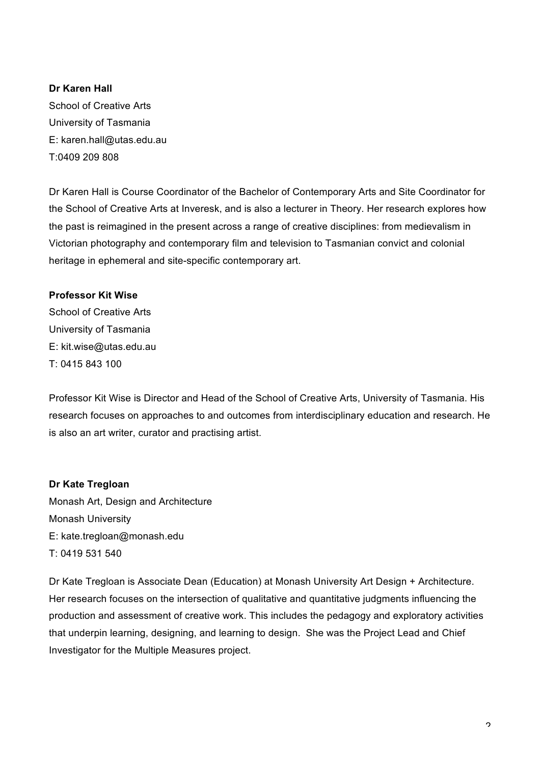**Dr Karen Hall** School of Creative Arts University of Tasmania E: karen.hall@utas.edu.au T:0409 209 808

Dr Karen Hall is Course Coordinator of the Bachelor of Contemporary Arts and Site Coordinator for the School of Creative Arts at Inveresk, and is also a lecturer in Theory. Her research explores how the past is reimagined in the present across a range of creative disciplines: from medievalism in Victorian photography and contemporary film and television to Tasmanian convict and colonial heritage in ephemeral and site-specific contemporary art.

## **Professor Kit Wise**

School of Creative Arts University of Tasmania E: kit.wise@utas.edu.au T: 0415 843 100

Professor Kit Wise is Director and Head of the School of Creative Arts, University of Tasmania. His research focuses on approaches to and outcomes from interdisciplinary education and research. He is also an art writer, curator and practising artist.

## **Dr Kate Tregloan**

Monash Art, Design and Architecture Monash University E: kate.tregloan@monash.edu T: 0419 531 540

Dr Kate Tregloan is Associate Dean (Education) at Monash University Art Design + Architecture. Her research focuses on the intersection of qualitative and quantitative judgments influencing the production and assessment of creative work. This includes the pedagogy and exploratory activities that underpin learning, designing, and learning to design. She was the Project Lead and Chief Investigator for the Multiple Measures project.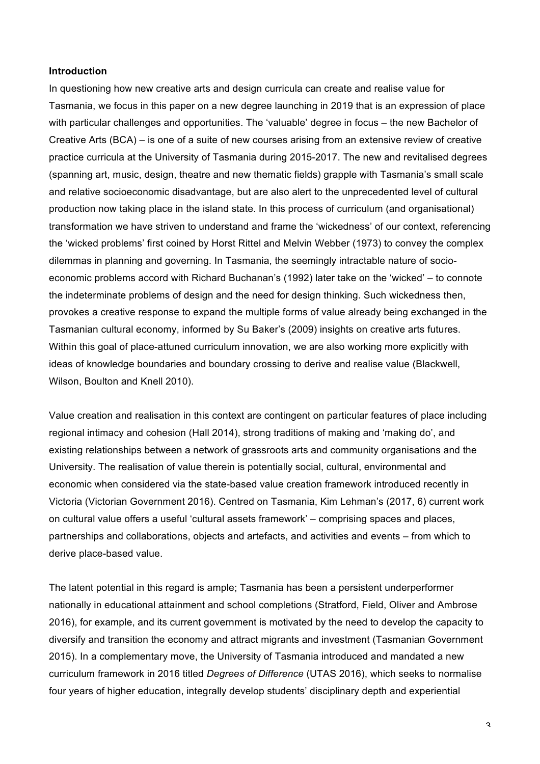#### **Introduction**

In questioning how new creative arts and design curricula can create and realise value for Tasmania, we focus in this paper on a new degree launching in 2019 that is an expression of place with particular challenges and opportunities. The 'valuable' degree in focus – the new Bachelor of Creative Arts (BCA) – is one of a suite of new courses arising from an extensive review of creative practice curricula at the University of Tasmania during 2015-2017. The new and revitalised degrees (spanning art, music, design, theatre and new thematic fields) grapple with Tasmania's small scale and relative socioeconomic disadvantage, but are also alert to the unprecedented level of cultural production now taking place in the island state. In this process of curriculum (and organisational) transformation we have striven to understand and frame the 'wickedness' of our context, referencing the 'wicked problems' first coined by Horst Rittel and Melvin Webber (1973) to convey the complex dilemmas in planning and governing. In Tasmania, the seemingly intractable nature of socioeconomic problems accord with Richard Buchanan's (1992) later take on the 'wicked' – to connote the indeterminate problems of design and the need for design thinking. Such wickedness then, provokes a creative response to expand the multiple forms of value already being exchanged in the Tasmanian cultural economy, informed by Su Baker's (2009) insights on creative arts futures. Within this goal of place-attuned curriculum innovation, we are also working more explicitly with ideas of knowledge boundaries and boundary crossing to derive and realise value (Blackwell, Wilson, Boulton and Knell 2010).

Value creation and realisation in this context are contingent on particular features of place including regional intimacy and cohesion (Hall 2014), strong traditions of making and 'making do', and existing relationships between a network of grassroots arts and community organisations and the University. The realisation of value therein is potentially social, cultural, environmental and economic when considered via the state-based value creation framework introduced recently in Victoria (Victorian Government 2016). Centred on Tasmania, Kim Lehman's (2017, 6) current work on cultural value offers a useful 'cultural assets framework' – comprising spaces and places, partnerships and collaborations, objects and artefacts, and activities and events – from which to derive place-based value.

The latent potential in this regard is ample; Tasmania has been a persistent underperformer nationally in educational attainment and school completions (Stratford, Field, Oliver and Ambrose 2016), for example, and its current government is motivated by the need to develop the capacity to diversify and transition the economy and attract migrants and investment (Tasmanian Government 2015). In a complementary move, the University of Tasmania introduced and mandated a new curriculum framework in 2016 titled *Degrees of Difference* (UTAS 2016), which seeks to normalise four years of higher education, integrally develop students' disciplinary depth and experiential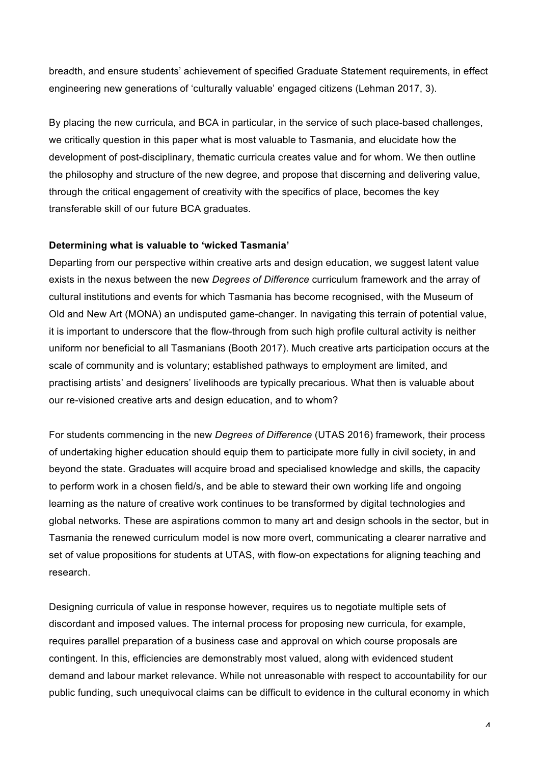breadth, and ensure students' achievement of specified Graduate Statement requirements, in effect engineering new generations of 'culturally valuable' engaged citizens (Lehman 2017, 3).

By placing the new curricula, and BCA in particular, in the service of such place-based challenges, we critically question in this paper what is most valuable to Tasmania, and elucidate how the development of post-disciplinary, thematic curricula creates value and for whom. We then outline the philosophy and structure of the new degree, and propose that discerning and delivering value, through the critical engagement of creativity with the specifics of place, becomes the key transferable skill of our future BCA graduates.

#### **Determining what is valuable to 'wicked Tasmania'**

Departing from our perspective within creative arts and design education, we suggest latent value exists in the nexus between the new *Degrees of Difference* curriculum framework and the array of cultural institutions and events for which Tasmania has become recognised, with the Museum of Old and New Art (MONA) an undisputed game-changer. In navigating this terrain of potential value, it is important to underscore that the flow-through from such high profile cultural activity is neither uniform nor beneficial to all Tasmanians (Booth 2017). Much creative arts participation occurs at the scale of community and is voluntary; established pathways to employment are limited, and practising artists' and designers' livelihoods are typically precarious. What then is valuable about our re-visioned creative arts and design education, and to whom?

For students commencing in the new *Degrees of Difference* (UTAS 2016) framework, their process of undertaking higher education should equip them to participate more fully in civil society, in and beyond the state. Graduates will acquire broad and specialised knowledge and skills, the capacity to perform work in a chosen field/s, and be able to steward their own working life and ongoing learning as the nature of creative work continues to be transformed by digital technologies and global networks. These are aspirations common to many art and design schools in the sector, but in Tasmania the renewed curriculum model is now more overt, communicating a clearer narrative and set of value propositions for students at UTAS, with flow-on expectations for aligning teaching and research.

Designing curricula of value in response however, requires us to negotiate multiple sets of discordant and imposed values. The internal process for proposing new curricula, for example, requires parallel preparation of a business case and approval on which course proposals are contingent. In this, efficiencies are demonstrably most valued, along with evidenced student demand and labour market relevance. While not unreasonable with respect to accountability for our public funding, such unequivocal claims can be difficult to evidence in the cultural economy in which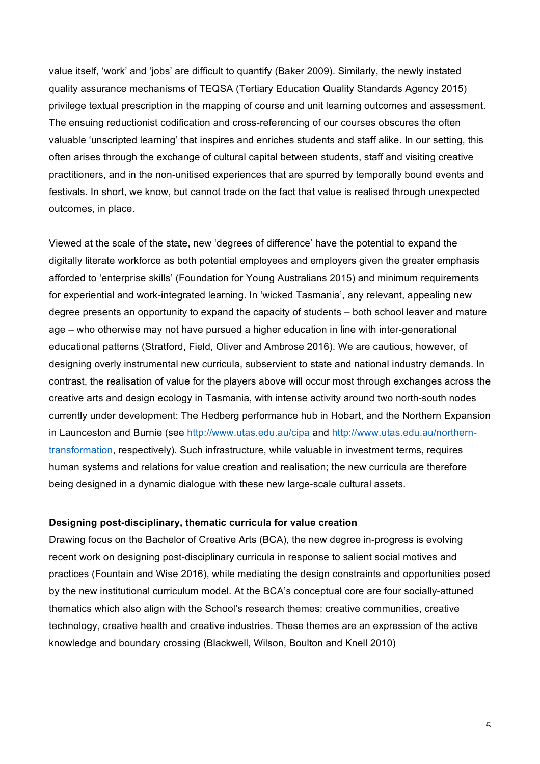value itself, 'work' and 'jobs' are difficult to quantify (Baker 2009). Similarly, the newly instated quality assurance mechanisms of TEQSA (Tertiary Education Quality Standards Agency 2015) privilege textual prescription in the mapping of course and unit learning outcomes and assessment. The ensuing reductionist codification and cross-referencing of our courses obscures the often valuable 'unscripted learning' that inspires and enriches students and staff alike. In our setting, this often arises through the exchange of cultural capital between students, staff and visiting creative practitioners, and in the non-unitised experiences that are spurred by temporally bound events and festivals. In short, we know, but cannot trade on the fact that value is realised through unexpected outcomes, in place.

Viewed at the scale of the state, new 'degrees of difference' have the potential to expand the digitally literate workforce as both potential employees and employers given the greater emphasis afforded to 'enterprise skills' (Foundation for Young Australians 2015) and minimum requirements for experiential and work-integrated learning. In 'wicked Tasmania', any relevant, appealing new degree presents an opportunity to expand the capacity of students – both school leaver and mature age – who otherwise may not have pursued a higher education in line with inter-generational educational patterns (Stratford, Field, Oliver and Ambrose 2016). We are cautious, however, of designing overly instrumental new curricula, subservient to state and national industry demands. In contrast, the realisation of value for the players above will occur most through exchanges across the creative arts and design ecology in Tasmania, with intense activity around two north-south nodes currently under development: The Hedberg performance hub in Hobart, and the Northern Expansion in Launceston and Burnie (see<http://www.utas.edu.au/cipa> and [http://www.utas.edu.au/northern](http://www.utas.edu.au/northern-transformation)[transformation](http://www.utas.edu.au/northern-transformation), respectively). Such infrastructure, while valuable in investment terms, requires human systems and relations for value creation and realisation; the new curricula are therefore being designed in a dynamic dialogue with these new large-scale cultural assets.

## **Designing post-disciplinary, thematic curricula for value creation**

Drawing focus on the Bachelor of Creative Arts (BCA), the new degree in-progress is evolving recent work on designing post-disciplinary curricula in response to salient social motives and practices (Fountain and Wise 2016), while mediating the design constraints and opportunities posed by the new institutional curriculum model. At the BCA's conceptual core are four socially-attuned thematics which also align with the School's research themes: creative communities, creative technology, creative health and creative industries. These themes are an expression of the active knowledge and boundary crossing (Blackwell, Wilson, Boulton and Knell 2010)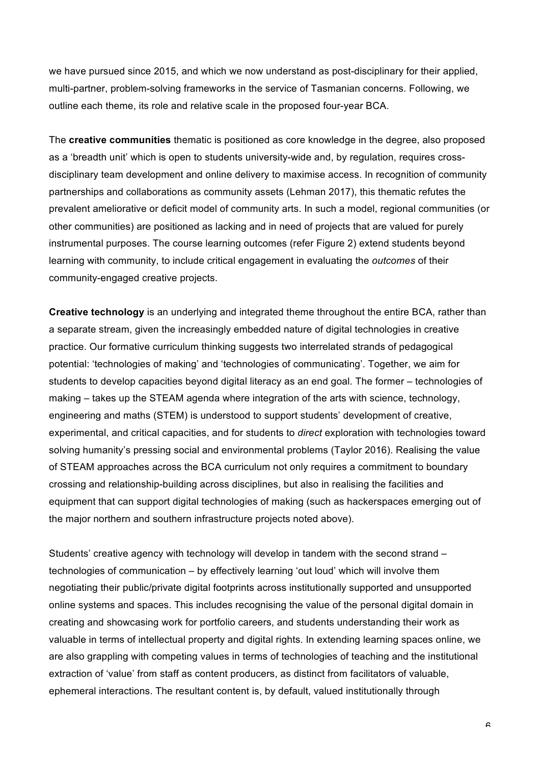we have pursued since 2015, and which we now understand as post-disciplinary for their applied, multi-partner, problem-solving frameworks in the service of Tasmanian concerns. Following, we outline each theme, its role and relative scale in the proposed four-year BCA.

The **creative communities** thematic is positioned as core knowledge in the degree, also proposed as a 'breadth unit' which is open to students university-wide and, by regulation, requires crossdisciplinary team development and online delivery to maximise access. In recognition of community partnerships and collaborations as community assets (Lehman 2017), this thematic refutes the prevalent ameliorative or deficit model of community arts. In such a model, regional communities (or other communities) are positioned as lacking and in need of projects that are valued for purely instrumental purposes. The course learning outcomes (refer Figure 2) extend students beyond learning with community, to include critical engagement in evaluating the *outcomes* of their community-engaged creative projects.

**Creative technology** is an underlying and integrated theme throughout the entire BCA, rather than a separate stream, given the increasingly embedded nature of digital technologies in creative practice. Our formative curriculum thinking suggests two interrelated strands of pedagogical potential: 'technologies of making' and 'technologies of communicating'. Together, we aim for students to develop capacities beyond digital literacy as an end goal. The former – technologies of making – takes up the STEAM agenda where integration of the arts with science, technology, engineering and maths (STEM) is understood to support students' development of creative, experimental, and critical capacities, and for students to *direct* exploration with technologies toward solving humanity's pressing social and environmental problems (Taylor 2016). Realising the value of STEAM approaches across the BCA curriculum not only requires a commitment to boundary crossing and relationship-building across disciplines, but also in realising the facilities and equipment that can support digital technologies of making (such as hackerspaces emerging out of the major northern and southern infrastructure projects noted above).

Students' creative agency with technology will develop in tandem with the second strand – technologies of communication – by effectively learning 'out loud' which will involve them negotiating their public/private digital footprints across institutionally supported and unsupported online systems and spaces. This includes recognising the value of the personal digital domain in creating and showcasing work for portfolio careers, and students understanding their work as valuable in terms of intellectual property and digital rights. In extending learning spaces online, we are also grappling with competing values in terms of technologies of teaching and the institutional extraction of 'value' from staff as content producers, as distinct from facilitators of valuable, ephemeral interactions. The resultant content is, by default, valued institutionally through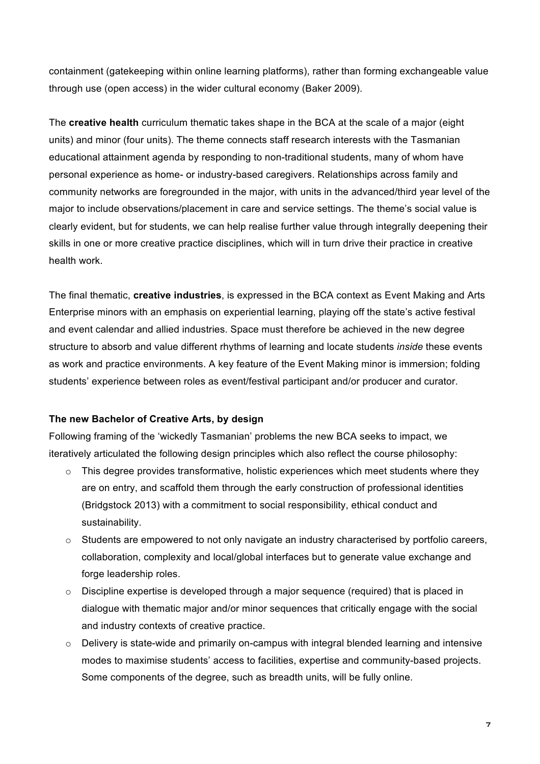containment (gatekeeping within online learning platforms), rather than forming exchangeable value through use (open access) in the wider cultural economy (Baker 2009).

The **creative health** curriculum thematic takes shape in the BCA at the scale of a major (eight units) and minor (four units). The theme connects staff research interests with the Tasmanian educational attainment agenda by responding to non-traditional students, many of whom have personal experience as home- or industry-based caregivers. Relationships across family and community networks are foregrounded in the major, with units in the advanced/third year level of the major to include observations/placement in care and service settings. The theme's social value is clearly evident, but for students, we can help realise further value through integrally deepening their skills in one or more creative practice disciplines, which will in turn drive their practice in creative health work.

The final thematic, **creative industries**, is expressed in the BCA context as Event Making and Arts Enterprise minors with an emphasis on experiential learning, playing off the state's active festival and event calendar and allied industries. Space must therefore be achieved in the new degree structure to absorb and value different rhythms of learning and locate students *inside* these events as work and practice environments. A key feature of the Event Making minor is immersion; folding students' experience between roles as event/festival participant and/or producer and curator.

## **The new Bachelor of Creative Arts, by design**

Following framing of the 'wickedly Tasmanian' problems the new BCA seeks to impact, we iteratively articulated the following design principles which also reflect the course philosophy:

- o This degree provides transformative, holistic experiences which meet students where they are on entry, and scaffold them through the early construction of professional identities (Bridgstock 2013) with a commitment to social responsibility, ethical conduct and sustainability.
- $\circ$  Students are empowered to not only navigate an industry characterised by portfolio careers, collaboration, complexity and local/global interfaces but to generate value exchange and forge leadership roles.
- $\circ$  Discipline expertise is developed through a major sequence (required) that is placed in dialogue with thematic major and/or minor sequences that critically engage with the social and industry contexts of creative practice.
- o Delivery is state-wide and primarily on-campus with integral blended learning and intensive modes to maximise students' access to facilities, expertise and community-based projects. Some components of the degree, such as breadth units, will be fully online.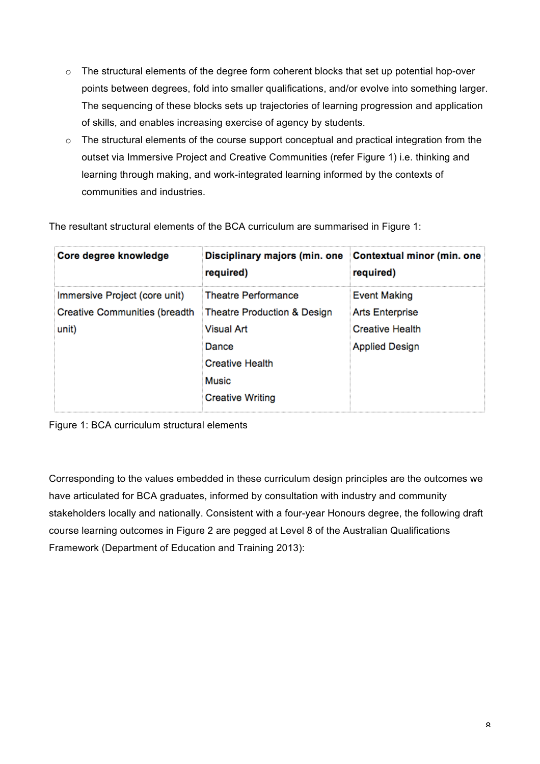- o The structural elements of the degree form coherent blocks that set up potential hop-over points between degrees, fold into smaller qualifications, and/or evolve into something larger. The sequencing of these blocks sets up trajectories of learning progression and application of skills, and enables increasing exercise of agency by students.
- o The structural elements of the course support conceptual and practical integration from the outset via Immersive Project and Creative Communities (refer Figure 1) i.e. thinking and learning through making, and work-integrated learning informed by the contexts of communities and industries.

| Core degree knowledge                | Disciplinary majors (min. one Contextual minor (min. one<br>required) | required)              |
|--------------------------------------|-----------------------------------------------------------------------|------------------------|
| Immersive Project (core unit)        | Theatre Performance                                                   | <b>Event Making</b>    |
| <b>Creative Communities (breadth</b> | Theatre Production & Design                                           | <b>Arts Enterprise</b> |
| unit)                                | <b>Visual Art</b>                                                     | <b>Creative Health</b> |
|                                      | Dance                                                                 | <b>Applied Design</b>  |
|                                      | <b>Creative Health</b>                                                |                        |
|                                      | <b>Music</b>                                                          |                        |
|                                      | <b>Creative Writing</b>                                               |                        |

The resultant structural elements of the BCA curriculum are summarised in Figure 1:

Figure 1: BCA curriculum structural elements

Corresponding to the values embedded in these curriculum design principles are the outcomes we have articulated for BCA graduates, informed by consultation with industry and community stakeholders locally and nationally. Consistent with a four-year Honours degree, the following draft course learning outcomes in Figure 2 are pegged at Level 8 of the Australian Qualifications Framework (Department of Education and Training 2013):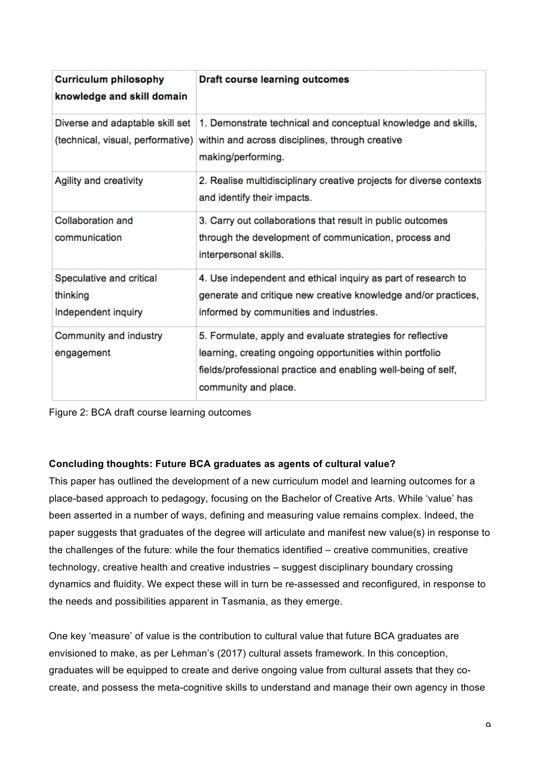| <b>Curriculum philosophy</b><br>knowledge and skill domain  | <b>Draft course learning outcomes</b>                                                                                                                                                                            |
|-------------------------------------------------------------|------------------------------------------------------------------------------------------------------------------------------------------------------------------------------------------------------------------|
|                                                             | Diverse and adaptable skill set 1. Demonstrate technical and conceptual knowledge and skills,<br>(technical, visual, performative) within and across disciplines, through creative<br>making/performing.         |
| Agility and creativity                                      | 2. Realise multidisciplinary creative projects for diverse contexts<br>and identify their impacts.                                                                                                               |
| Collaboration and<br>communication                          | 3. Carry out collaborations that result in public outcomes<br>through the development of communication, process and<br>interpersonal skills.                                                                     |
| Speculative and critical<br>thinking<br>Independent inquiry | 4. Use independent and ethical inquiry as part of research to<br>generate and critique new creative knowledge and/or practices,<br>informed by communities and industries.                                       |
| Community and industry<br>engagement                        | 5. Formulate, apply and evaluate strategies for reflective<br>learning, creating ongoing opportunities within portfolio<br>fields/professional practice and enabling well-being of self,<br>community and place. |



## **Concluding thoughts: Future BCA graduates as agents of cultural value?**

This paper has outlined the development of a new curriculum model and learning outcomes for a place-based approach to pedagogy, focusing on the Bachelor of Creative Arts. While 'value' has been asserted in a number of ways, defining and measuring value remains complex. Indeed, the paper suggests that graduates of the degree will articulate and manifest new value(s) in response to the challenges of the future: while the four thematics identified – creative communities, creative technology, creative health and creative industries – suggest disciplinary boundary crossing dynamics and fluidity. We expect these will in turn be re-assessed and reconfigured, in response to the needs and possibilities apparent in Tasmania, as they emerge.

One key 'measure' of value is the contribution to cultural value that future BCA graduates are envisioned to make, as per Lehman's (2017) cultural assets framework. In this conception, graduates will be equipped to create and derive ongoing value from cultural assets that they cocreate, and possess the meta-cognitive skills to understand and manage their own agency in those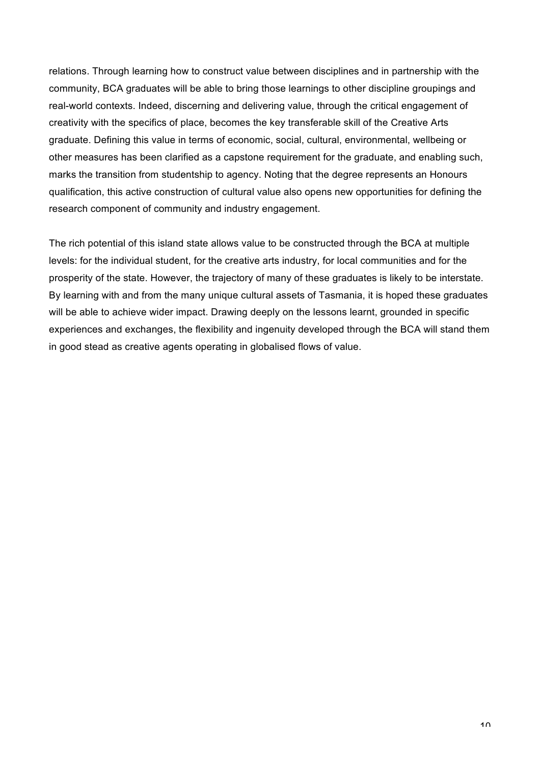relations. Through learning how to construct value between disciplines and in partnership with the community, BCA graduates will be able to bring those learnings to other discipline groupings and real-world contexts. Indeed, discerning and delivering value, through the critical engagement of creativity with the specifics of place, becomes the key transferable skill of the Creative Arts graduate. Defining this value in terms of economic, social, cultural, environmental, wellbeing or other measures has been clarified as a capstone requirement for the graduate, and enabling such, marks the transition from studentship to agency. Noting that the degree represents an Honours qualification, this active construction of cultural value also opens new opportunities for defining the research component of community and industry engagement.

The rich potential of this island state allows value to be constructed through the BCA at multiple levels: for the individual student, for the creative arts industry, for local communities and for the prosperity of the state. However, the trajectory of many of these graduates is likely to be interstate. By learning with and from the many unique cultural assets of Tasmania, it is hoped these graduates will be able to achieve wider impact. Drawing deeply on the lessons learnt, grounded in specific experiences and exchanges, the flexibility and ingenuity developed through the BCA will stand them in good stead as creative agents operating in globalised flows of value.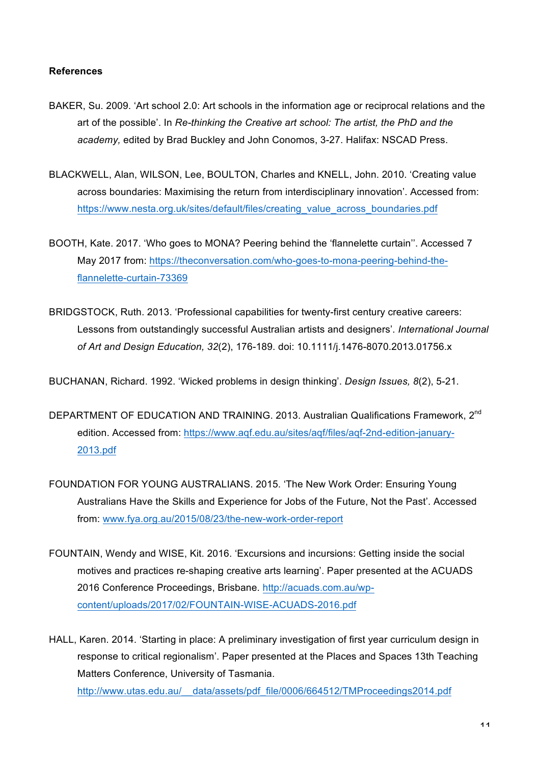#### **References**

- BAKER, Su. 2009. 'Art school 2.0: Art schools in the information age or reciprocal relations and the art of the possible'. In *Re-thinking the Creative art school: The artist, the PhD and the academy,* edited by Brad Buckley and John Conomos, 3-27. Halifax: NSCAD Press.
- BLACKWELL, Alan, WILSON, Lee, BOULTON, Charles and KNELL, John. 2010. 'Creating value across boundaries: Maximising the return from interdisciplinary innovation'. Accessed from: [https://www.nesta.org.uk/sites/default/files/creating\\_value\\_across\\_boundaries.pdf](https://www.nesta.org.uk/sites/default/files/creating_value_across_boundaries.pdf)
- BOOTH, Kate. 2017. 'Who goes to MONA? Peering behind the 'flannelette curtain''. Accessed 7 May 2017 from: [https://theconversation.com/who-goes-to-mona-peering-behind-the](https://theconversation.com/who-goes-to-mona-peering-behind-the-flannelette-curtain-73369)[flannelette-curtain-73369](https://theconversation.com/who-goes-to-mona-peering-behind-the-flannelette-curtain-73369)
- BRIDGSTOCK, Ruth. 2013. 'Professional capabilities for twenty-first century creative careers: Lessons from outstandingly successful Australian artists and designers'. *International Journal of Art and Design Education, 32*(2), 176-189. doi: 10.1111/j.1476-8070.2013.01756.x

BUCHANAN, Richard. 1992. 'Wicked problems in design thinking'. *Design Issues, 8*(2), 5-21.

- DEPARTMENT OF EDUCATION AND TRAINING. 2013. Australian Qualifications Framework, 2<sup>nd</sup> edition. Accessed from: [https://www.aqf.edu.au/sites/aqf/files/aqf-2nd-edition-january](https://www.aqf.edu.au/sites/aqf/files/aqf-2nd-edition-january-2013.pdf)-[2013.pdf](https://www.aqf.edu.au/sites/aqf/files/aqf-2nd-edition-january-2013.pdf)
- FOUNDATION FOR YOUNG AUSTRALIANS. 2015. 'The New Work Order: Ensuring Young Australians Have the Skills and Experience for Jobs of the Future, Not the Past'. Accessed from: [www.fya.org.au/2015/08/23/the-new-work-order-report](http://www.fya.org.au/2015/08/23/the-new-work-order-report)
- FOUNTAIN, Wendy and WISE, Kit. 2016. 'Excursions and incursions: Getting inside the social motives and practices re-shaping creative arts learning'. Paper presented at the ACUADS 2016 Conference Proceedings, Brisbane. [http://acuads.com.au/wp](http://acuads.com.au/wp-content/uploads/2017/02/FOUNTAIN-WISE-ACUADS-2016.pdf)[content/uploads/2017/02/FOUNTAIN-WISE-ACUADS-2016.pdf](http://acuads.com.au/wp-content/uploads/2017/02/FOUNTAIN-WISE-ACUADS-2016.pdf)

HALL, Karen. 2014. 'Starting in place: A preliminary investigation of first year curriculum design in response to critical regionalism'. Paper presented at the Places and Spaces 13th Teaching Matters Conference, University of Tasmania.

http://www.utas.edu.au/ data/assets/pdf\_file/0006/664512/TMProceedings2014.pdf